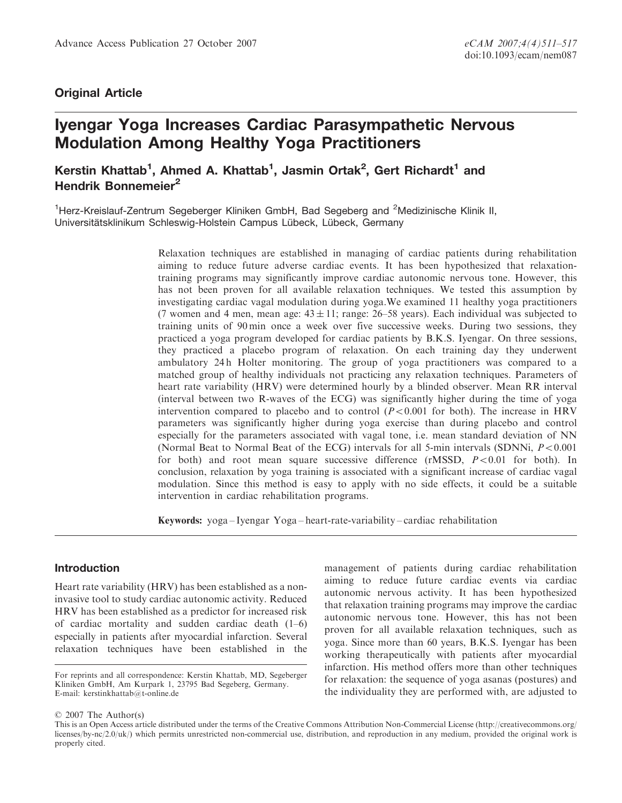# Original Article

# Iyengar Yoga Increases Cardiac Parasympathetic Nervous Modulation Among Healthy Yoga Practitioners

Kerstin Khattab<sup>1</sup>, Ahmed A. Khattab<sup>1</sup>, Jasmin Ortak<sup>2</sup>, Gert Richardt<sup>1</sup> and Hendrik Bonnemeier<sup>2</sup>

<sup>1</sup>Herz-Kreislauf-Zentrum Segeberger Kliniken GmbH, Bad Segeberg and <sup>2</sup>Medizinische Klinik II, Universitätsklinikum Schleswig-Holstein Campus Lübeck, Lübeck, Germany

> Relaxation techniques are established in managing of cardiac patients during rehabilitation aiming to reduce future adverse cardiac events. It has been hypothesized that relaxationtraining programs may significantly improve cardiac autonomic nervous tone. However, this has not been proven for all available relaxation techniques. We tested this assumption by investigating cardiac vagal modulation during yoga.We examined 11 healthy yoga practitioners (7 women and 4 men, mean age:  $43 \pm 11$ ; range: 26–58 years). Each individual was subjected to training units of 90 min once a week over five successive weeks. During two sessions, they practiced a yoga program developed for cardiac patients by B.K.S. Iyengar. On three sessions, they practiced a placebo program of relaxation. On each training day they underwent ambulatory 24 h Holter monitoring. The group of yoga practitioners was compared to a matched group of healthy individuals not practicing any relaxation techniques. Parameters of heart rate variability (HRV) were determined hourly by a blinded observer. Mean RR interval (interval between two R-waves of the ECG) was significantly higher during the time of yoga intervention compared to placebo and to control  $(P<0.001$  for both). The increase in HRV parameters was significantly higher during yoga exercise than during placebo and control especially for the parameters associated with vagal tone, i.e. mean standard deviation of NN (Normal Beat to Normal Beat of the ECG) intervals for all 5-min intervals (SDNNi,  $P < 0.001$ ) for both) and root mean square successive difference (rMSSD,  $P < 0.01$  for both). In conclusion, relaxation by yoga training is associated with a significant increase of cardiac vagal modulation. Since this method is easy to apply with no side effects, it could be a suitable intervention in cardiac rehabilitation programs.

Keywords: yoga – Iyengar Yoga – heart-rate-variability – cardiac rehabilitation

# Introduction

Heart rate variability (HRV) has been established as a noninvasive tool to study cardiac autonomic activity. Reduced HRV has been established as a predictor for increased risk of cardiac mortality and sudden cardiac death (1–6) especially in patients after myocardial infarction. Several relaxation techniques have been established in the management of patients during cardiac rehabilitation aiming to reduce future cardiac events via cardiac autonomic nervous activity. It has been hypothesized that relaxation training programs may improve the cardiac autonomic nervous tone. However, this has not been proven for all available relaxation techniques, such as yoga. Since more than 60 years, B.K.S. Iyengar has been working therapeutically with patients after myocardial infarction. His method offers more than other techniques for relaxation: the sequence of yoga asanas (postures) and the individuality they are performed with, are adjusted to

2007 The Author(s)

For reprints and all correspondence: Kerstin Khattab, MD, Segeberger Kliniken GmbH, Am Kurpark 1, 23795 Bad Segeberg, Germany. E-mail: kerstinkhattab@t-online.de

This is an Open Access article distributed under the terms of the Creative Commons Attribution Non-Commercial License (<http://creativecommons.org/> licenses/by-nc/2.0/uk/) which permits unrestricted non-commercial use, distribution, and reproduction in any medium, provided the original work is properly cited.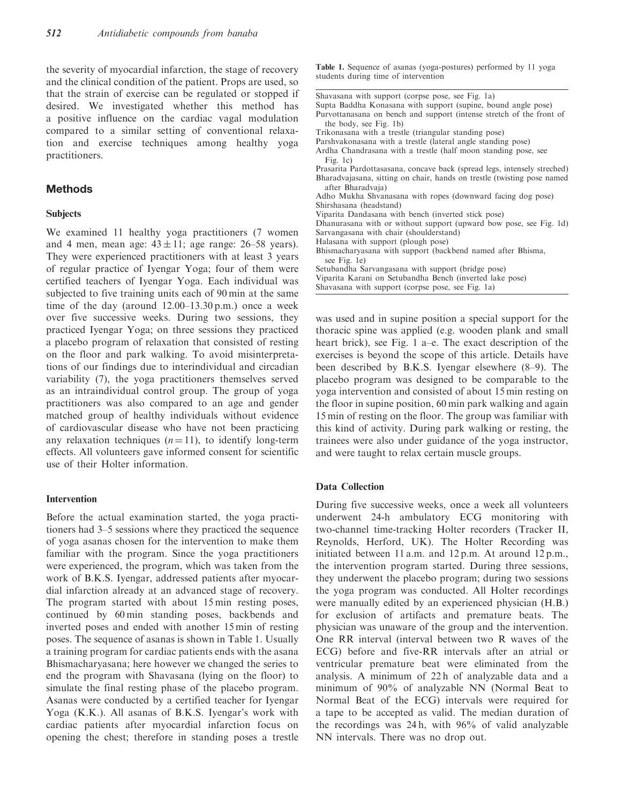the severity of myocardial infarction, the stage of recovery and the clinical condition of the patient. Props are used, so that the strain of exercise can be regulated or stopped if desired. We investigated whether this method has a positive influence on the cardiac vagal modulation compared to a similar setting of conventional relaxation and exercise techniques among healthy yoga practitioners.

# Methods

## **Subjects**

We examined 11 healthy yoga practitioners (7 women and 4 men, mean age:  $43 \pm 11$ ; age range:  $26-58$  years). They were experienced practitioners with at least 3 years of regular practice of Iyengar Yoga; four of them were certified teachers of Iyengar Yoga. Each individual was subjected to five training units each of 90 min at the same time of the day (around 12.00–13.30 p.m.) once a week over five successive weeks. During two sessions, they practiced Iyengar Yoga; on three sessions they practiced a placebo program of relaxation that consisted of resting on the floor and park walking. To avoid misinterpretations of our findings due to interindividual and circadian variability (7), the yoga practitioners themselves served as an intraindividual control group. The group of yoga practitioners was also compared to an age and gender matched group of healthy individuals without evidence of cardiovascular disease who have not been practicing any relaxation techniques  $(n = 11)$ , to identify long-term effects. All volunteers gave informed consent for scientific use of their Holter information.

# Intervention

Before the actual examination started, the yoga practitioners had 3–5 sessions where they practiced the sequence of yoga asanas chosen for the intervention to make them familiar with the program. Since the yoga practitioners were experienced, the program, which was taken from the work of B.K.S. Iyengar, addressed patients after myocardial infarction already at an advanced stage of recovery. The program started with about 15 min resting poses, continued by 60 min standing poses, backbends and inverted poses and ended with another 15 min of resting poses. The sequence of asanas is shown in Table 1. Usually a training program for cardiac patients ends with the asana Bhismacharyasana; here however we changed the series to end the program with Shavasana (lying on the floor) to simulate the final resting phase of the placebo program. Asanas were conducted by a certified teacher for Iyengar Yoga (K.K.). All asanas of B.K.S. Iyengar's work with cardiac patients after myocardial infarction focus on opening the chest; therefore in standing poses a trestle

| <b>Table 1.</b> Sequence of asanas (yoga-postures) performed by 11 yoga<br>students during time of intervention |
|-----------------------------------------------------------------------------------------------------------------|
| Shavasana with support (corpse pose, see Fig. 1a)                                                               |
| Supta Baddha Konasana with support (supine, bound angle pose)                                                   |
| Purvottanasana on bench and support (intense stretch of the front of<br>the body, see Fig. 1b)                  |
| Trikonasana with a trestle (triangular standing pose)                                                           |
| Parshvakonasana with a trestle (lateral angle standing pose)                                                    |
| Ardha Chandrasana with a trestle (half moon standing pose, see                                                  |
| Fig. $1c$ )                                                                                                     |
| Prasarita Pardottasasana, concave back (spread legs, intensely streched)                                        |
| Bharadvajasana, sitting on chair, hands on trestle (twisting pose named<br>after Bharadvaja)                    |
| Adho Mukha Shvanasana with ropes (downward facing dog pose)                                                     |
| Shirshasana (headstand)                                                                                         |
| Viparita Dandasana with bench (inverted stick pose)                                                             |
| Dhanurasana with or without support (upward bow pose, see Fig. 1d)                                              |
| Sarvangasana with chair (shoulderstand)                                                                         |
| Halasana with support (plough pose)                                                                             |
| Bhismacharyasana with support (backbend named after Bhisma,<br>see Fig. 1e)                                     |
| Setubandha Sarvangasana with support (bridge pose)                                                              |
| Viparita Karani on Setubandha Bench (inverted lake pose)                                                        |
| Shavasana with support (corpse pose, see Fig. 1a)                                                               |

was used and in supine position a special support for the thoracic spine was applied (e.g. wooden plank and small heart brick), see Fig. 1 a–e. The exact description of the exercises is beyond the scope of this article. Details have been described by B.K.S. Iyengar elsewhere (8–9). The placebo program was designed to be comparable to the yoga intervention and consisted of about 15 min resting on the floor in supine position, 60 min park walking and again 15 min of resting on the floor. The group was familiar with this kind of activity. During park walking or resting, the trainees were also under guidance of the yoga instructor, and were taught to relax certain muscle groups.

#### Data Collection

During five successive weeks, once a week all volunteers underwent 24-h ambulatory ECG monitoring with two-channel time-tracking Holter recorders (Tracker II, Reynolds, Herford, UK). The Holter Recording was initiated between 11 a.m. and 12 p.m. At around 12 p.m., the intervention program started. During three sessions, they underwent the placebo program; during two sessions the yoga program was conducted. All Holter recordings were manually edited by an experienced physician (H.B.) for exclusion of artifacts and premature beats. The physician was unaware of the group and the intervention. One RR interval (interval between two R waves of the ECG) before and five-RR intervals after an atrial or ventricular premature beat were eliminated from the analysis. A minimum of 22 h of analyzable data and a minimum of 90% of analyzable NN (Normal Beat to Normal Beat of the ECG) intervals were required for a tape to be accepted as valid. The median duration of the recordings was 24 h, with 96% of valid analyzable NN intervals. There was no drop out.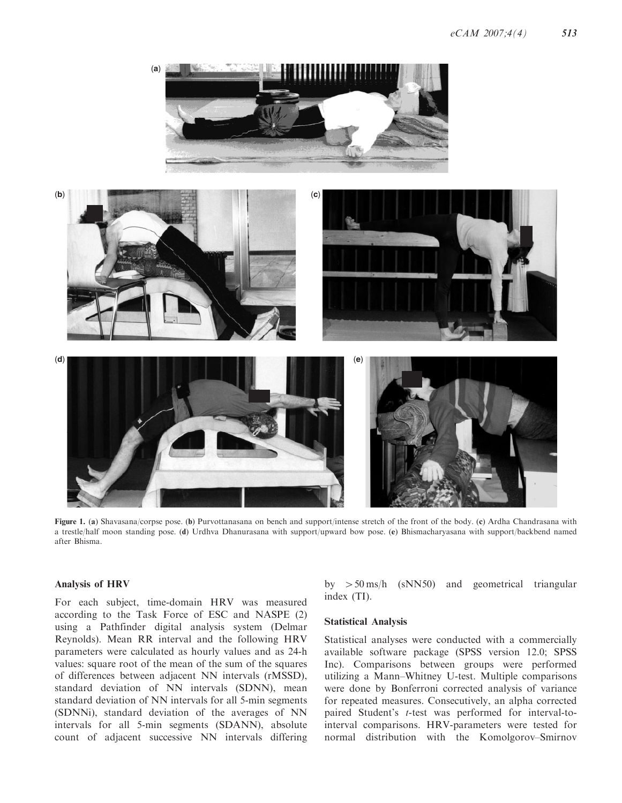



Figure 1. (a) Shavasana/corpse pose. (b) Purvottanasana on bench and support/intense stretch of the front of the body. (c) Ardha Chandrasana with a trestle/half moon standing pose. (d) Urdhva Dhanurasana with support/upward bow pose. (e) Bhismacharyasana with support/backbend named after Bhisma.

#### Analysis of HRV

For each subject, time-domain HRV was measured according to the Task Force of ESC and NASPE (2) using a Pathfinder digital analysis system (Delmar Reynolds). Mean RR interval and the following HRV parameters were calculated as hourly values and as 24-h values: square root of the mean of the sum of the squares of differences between adjacent NN intervals (rMSSD), standard deviation of NN intervals (SDNN), mean standard deviation of NN intervals for all 5-min segments (SDNNi), standard deviation of the averages of NN intervals for all 5-min segments (SDANN), absolute count of adjacent successive NN intervals differing by  $>$  50 ms/h (sNN50) and geometrical triangular index (TI).

#### Statistical Analysis

Statistical analyses were conducted with a commercially available software package (SPSS version 12.0; SPSS Inc). Comparisons between groups were performed utilizing a Mann–Whitney U-test. Multiple comparisons were done by Bonferroni corrected analysis of variance for repeated measures. Consecutively, an alpha corrected paired Student's t-test was performed for interval-tointerval comparisons. HRV-parameters were tested for normal distribution with the Komolgorov–Smirnov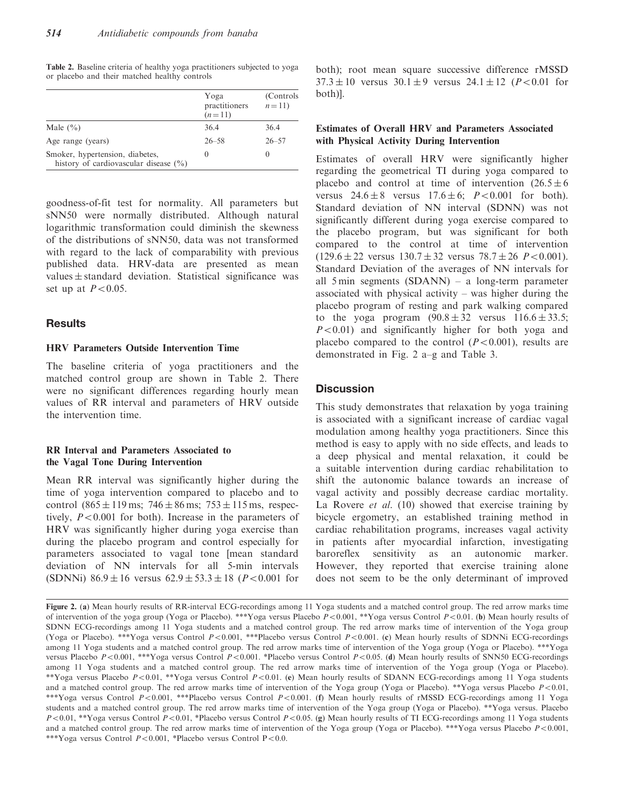|                                                                              | Yoga<br>practitioners<br>$(n=11)$ | (Controls)<br>$n = 11$ |
|------------------------------------------------------------------------------|-----------------------------------|------------------------|
| Male $(\% )$                                                                 | 36.4                              | 36.4                   |
| Age range (years)                                                            | $26 - 58$                         | $26 - 57$              |
| Smoker, hypertension, diabetes,<br>history of cardiovascular disease $(\% )$ | $\left( \right)$                  | $\theta$               |

Table 2. Baseline criteria of healthy yoga practitioners subjected to yoga or placebo and their matched healthy controls

goodness-of-fit test for normality. All parameters but sNN50 were normally distributed. Although natural logarithmic transformation could diminish the skewness of the distributions of sNN50, data was not transformed with regard to the lack of comparability with previous published data. HRV-data are presented as mean values  $\pm$  standard deviation. Statistical significance was set up at  $P < 0.05$ .

#### **Results**

# HRV Parameters Outside Intervention Time

The baseline criteria of yoga practitioners and the matched control group are shown in Table 2. There were no significant differences regarding hourly mean values of RR interval and parameters of HRV outside the intervention time.

# RR Interval and Parameters Associated to the Vagal Tone During Intervention

Mean RR interval was significantly higher during the time of yoga intervention compared to placebo and to control  $(865 \pm 119 \,\text{ms}; 746 \pm 86 \,\text{ms}; 753 \pm 115 \,\text{ms}, \text{respec-}$ tively,  $P < 0.001$  for both). Increase in the parameters of HRV was significantly higher during yoga exercise than during the placebo program and control especially for parameters associated to vagal tone [mean standard deviation of NN intervals for all 5-min intervals (SDNNi)  $86.9 \pm 16$  versus  $62.9 \pm 53.3 \pm 18$  (P<0.001 for

both); root mean square successive difference rMSSD  $37.3 \pm 10$  versus  $30.1 \pm 9$  versus  $24.1 \pm 12$  ( $P < 0.01$  for both)].

## Estimates of Overall HRV and Parameters Associated with Physical Activity During Intervention

Estimates of overall HRV were significantly higher regarding the geometrical TI during yoga compared to placebo and control at time of intervention  $(26.5 \pm 6$ versus  $24.6 \pm 8$  versus  $17.6 \pm 6$ ;  $P < 0.001$  for both). Standard deviation of NN interval (SDNN) was not significantly different during yoga exercise compared to the placebo program, but was significant for both compared to the control at time of intervention  $(129.6 \pm 22 \text{ versus } 130.7 \pm 32 \text{ versus } 78.7 \pm 26 \text{ } P<0.001).$ Standard Deviation of the averages of NN intervals for all 5 min segments (SDANN) – a long-term parameter associated with physical activity – was higher during the placebo program of resting and park walking compared to the yoga program  $(90.8 \pm 32$  versus  $116.6 \pm 33.5$ ;  $P<0.01$ ) and significantly higher for both yoga and placebo compared to the control  $(P<0.001)$ , results are demonstrated in Fig. 2 a–g and Table 3.

# **Discussion**

This study demonstrates that relaxation by yoga training is associated with a significant increase of cardiac vagal modulation among healthy yoga practitioners. Since this method is easy to apply with no side effects, and leads to a deep physical and mental relaxation, it could be a suitable intervention during cardiac rehabilitation to shift the autonomic balance towards an increase of vagal activity and possibly decrease cardiac mortality. La Rovere *et al.* (10) showed that exercise training by bicycle ergometry, an established training method in cardiac rehabilitation programs, increases vagal activity in patients after myocardial infarction, investigating baroreflex sensitivity as an autonomic marker. However, they reported that exercise training alone does not seem to be the only determinant of improved

Figure 2. (a) Mean hourly results of RR-interval ECG-recordings among 11 Yoga students and a matched control group. The red arrow marks time of intervention of the yoga group (Yoga or Placebo). \*\*\*Yoga versus Placebo  $P<0.001$ , \*\*Yoga versus Control  $P<0.01$ . (b) Mean hourly results of SDNN ECG-recordings among 11 Yoga students and a matched control group. The red arrow marks time of intervention of the Yoga group (Yoga or Placebo). \*\*\*Yoga versus Control P<0.001, \*\*\*Placebo versus Control P<0.001. (c) Mean hourly results of SDNNi ECG-recordings among 11 Yoga students and a matched control group. The red arrow marks time of intervention of the Yoga group (Yoga or Placebo). \*\*\*Yoga versus Placebo  $P < 0.001$ , \*\*\*Yoga versus Control  $P < 0.001$ . \*Placebo versus Control  $P < 0.05$ . (d) Mean hourly results of SNN50 ECG-recordings among 11 Yoga students and a matched control group. The red arrow marks time of intervention of the Yoga group (Yoga or Placebo). \*\*Yoga versus Placebo  $P < 0.01$ , \*\*Yoga versus Control  $P < 0.01$ . (e) Mean hourly results of SDANN ECG-recordings among 11 Yoga students and a matched control group. The red arrow marks time of intervention of the Yoga group (Yoga or Placebo). \*\*Yoga versus Placebo  $P<0.01$ , \*\*\*Yoga versus Control  $P < 0.001$ , \*\*\*Placebo versus Control  $P < 0.001$ . (f) Mean hourly results of rMSSD ECG-recordings among 11 Yoga students and a matched control group. The red arrow marks time of intervention of the Yoga group (Yoga or Placebo). \*\*Yoga versus. Placebo  $P<0.01$ , \*\*Yoga versus Control  $P<0.01$ , \*Placebo versus Control  $P<0.05$ . (g) Mean hourly results of TI ECG-recordings among 11 Yoga students and a matched control group. The red arrow marks time of intervention of the Yoga group (Yoga or Placebo). \*\*\*Yoga versus Placebo  $P<0.001$ , \*\*\*Yoga versus Control  $P<0.001$ , \*Placebo versus Control P $< 0.0$ .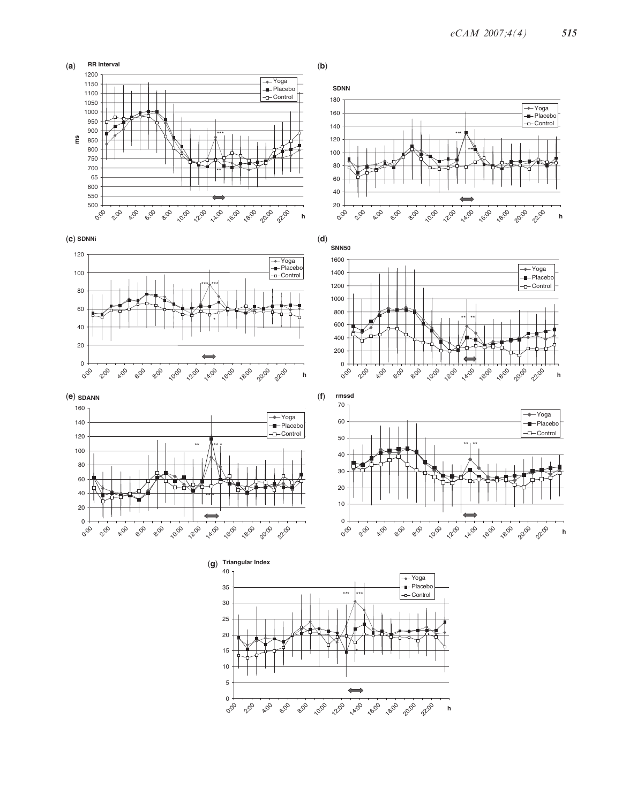

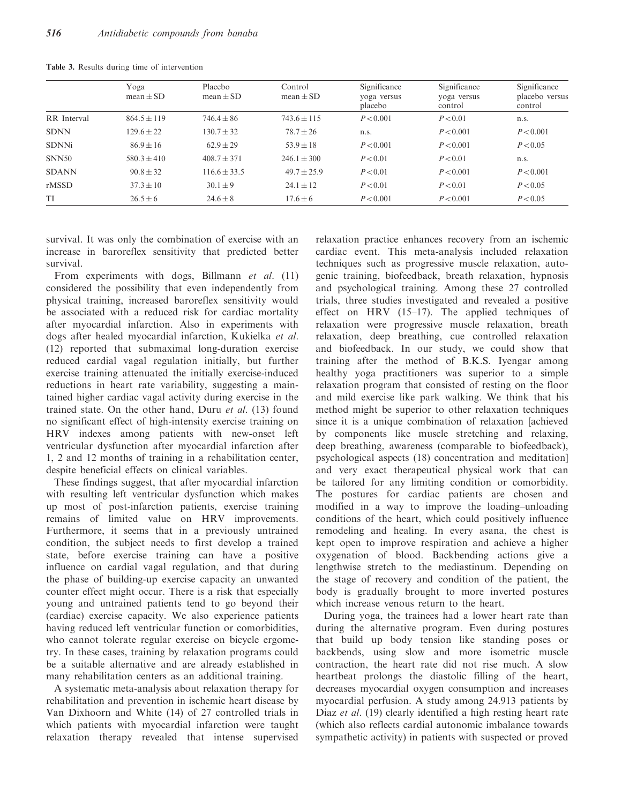|                    | Yoga<br>$mean \pm SD$ | Placebo<br>$mean \pm SD$ | Control<br>mean $\pm$ SD | Significance<br>yoga versus<br>placebo | Significance<br>yoga versus<br>control | Significance<br>placebo versus<br>control |
|--------------------|-----------------------|--------------------------|--------------------------|----------------------------------------|----------------------------------------|-------------------------------------------|
| <b>RR</b> Interval | $864.5 \pm 119$       | $746.4 \pm 86$           | $743.6 \pm 115$          | P < 0.001                              | P < 0.01                               | n.s.                                      |
| <b>SDNN</b>        | $129.6 + 22$          | $130.7 \pm 32$           | $78.7 + 26$              | n.s.                                   | P < 0.001                              | P < 0.001                                 |
| <b>SDNNi</b>       | $86.9 + 16$           | $62.9 + 29$              | $53.9 \pm 18$            | P < 0.001                              | P < 0.001                              | P < 0.05                                  |
| <b>SNN50</b>       | $580.3 + 410$         | $408.7 \pm 371$          | $246.1 \pm 300$          | P < 0.01                               | P < 0.01                               | n.s.                                      |
| <b>SDANN</b>       | $90.8 + 32$           | $116.6 \pm 33.5$         | $49.7 + 25.9$            | P < 0.01                               | P < 0.001                              | P < 0.001                                 |
| rMSSD              | $37.3 \pm 10$         | $30.1 + 9$               | $24.1 \pm 12$            | P < 0.01                               | P < 0.01                               | P < 0.05                                  |
| <b>TI</b>          | $26.5 \pm 6$          | $24.6 \pm 8$             | $17.6 \pm 6$             | P < 0.001                              | P < 0.001                              | P < 0.05                                  |

Table 3. Results during time of intervention

survival. It was only the combination of exercise with an increase in baroreflex sensitivity that predicted better survival.

From experiments with dogs, Billmann et al. (11) considered the possibility that even independently from physical training, increased baroreflex sensitivity would be associated with a reduced risk for cardiac mortality after myocardial infarction. Also in experiments with dogs after healed myocardial infarction, Kukielka et al. (12) reported that submaximal long-duration exercise reduced cardial vagal regulation initially, but further exercise training attenuated the initially exercise-induced reductions in heart rate variability, suggesting a maintained higher cardiac vagal activity during exercise in the trained state. On the other hand, Duru et al. (13) found no significant effect of high-intensity exercise training on HRV indexes among patients with new-onset left ventricular dysfunction after myocardial infarction after 1, 2 and 12 months of training in a rehabilitation center, despite beneficial effects on clinical variables.

These findings suggest, that after myocardial infarction with resulting left ventricular dysfunction which makes up most of post-infarction patients, exercise training remains of limited value on HRV improvements. Furthermore, it seems that in a previously untrained condition, the subject needs to first develop a trained state, before exercise training can have a positive influence on cardial vagal regulation, and that during the phase of building-up exercise capacity an unwanted counter effect might occur. There is a risk that especially young and untrained patients tend to go beyond their (cardiac) exercise capacity. We also experience patients having reduced left ventricular function or comorbidities, who cannot tolerate regular exercise on bicycle ergometry. In these cases, training by relaxation programs could be a suitable alternative and are already established in many rehabilitation centers as an additional training.

A systematic meta-analysis about relaxation therapy for rehabilitation and prevention in ischemic heart disease by Van Dixhoorn and White (14) of 27 controlled trials in which patients with myocardial infarction were taught relaxation therapy revealed that intense supervised relaxation practice enhances recovery from an ischemic cardiac event. This meta-analysis included relaxation techniques such as progressive muscle relaxation, autogenic training, biofeedback, breath relaxation, hypnosis and psychological training. Among these 27 controlled trials, three studies investigated and revealed a positive effect on HRV (15–17). The applied techniques of relaxation were progressive muscle relaxation, breath relaxation, deep breathing, cue controlled relaxation and biofeedback. In our study, we could show that training after the method of B.K.S. Iyengar among healthy yoga practitioners was superior to a simple relaxation program that consisted of resting on the floor and mild exercise like park walking. We think that his method might be superior to other relaxation techniques since it is a unique combination of relaxation [achieved by components like muscle stretching and relaxing, deep breathing, awareness (comparable to biofeedback), psychological aspects (18) concentration and meditation] and very exact therapeutical physical work that can be tailored for any limiting condition or comorbidity. The postures for cardiac patients are chosen and modified in a way to improve the loading–unloading conditions of the heart, which could positively influence remodeling and healing. In every asana, the chest is kept open to improve respiration and achieve a higher oxygenation of blood. Backbending actions give a lengthwise stretch to the mediastinum. Depending on the stage of recovery and condition of the patient, the body is gradually brought to more inverted postures which increase venous return to the heart.

During yoga, the trainees had a lower heart rate than during the alternative program. Even during postures that build up body tension like standing poses or backbends, using slow and more isometric muscle contraction, the heart rate did not rise much. A slow heartbeat prolongs the diastolic filling of the heart, decreases myocardial oxygen consumption and increases myocardial perfusion. A study among 24.913 patients by Diaz et al. (19) clearly identified a high resting heart rate (which also reflects cardial autonomic imbalance towards sympathetic activity) in patients with suspected or proved